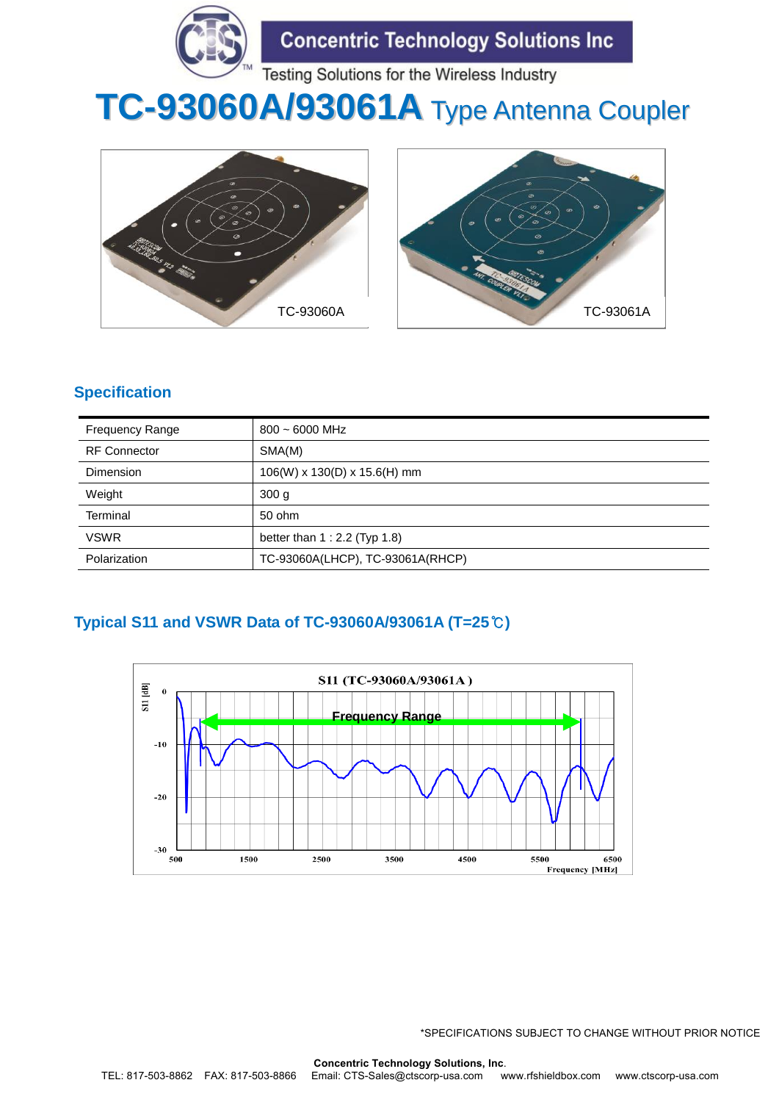

# **TC-93060A/93061A** Type Antenna Coupler





# **Specification**

| <b>Frequency Range</b> | $800 \sim 6000$ MHz                |
|------------------------|------------------------------------|
| <b>RF</b> Connector    | SMA(M)                             |
| <b>Dimension</b>       | $106(W)$ x $130(D)$ x $15.6(H)$ mm |
| Weight                 | 300 <sub>g</sub>                   |
| Terminal               | 50 ohm                             |
| <b>VSWR</b>            | better than $1:2.2$ (Typ $1.8$ )   |
| Polarization           | TC-93060A(LHCP), TC-93061A(RHCP)   |

# **Typical S11 and VSWR Data of TC-93060A/93061A (T=25**℃**)**

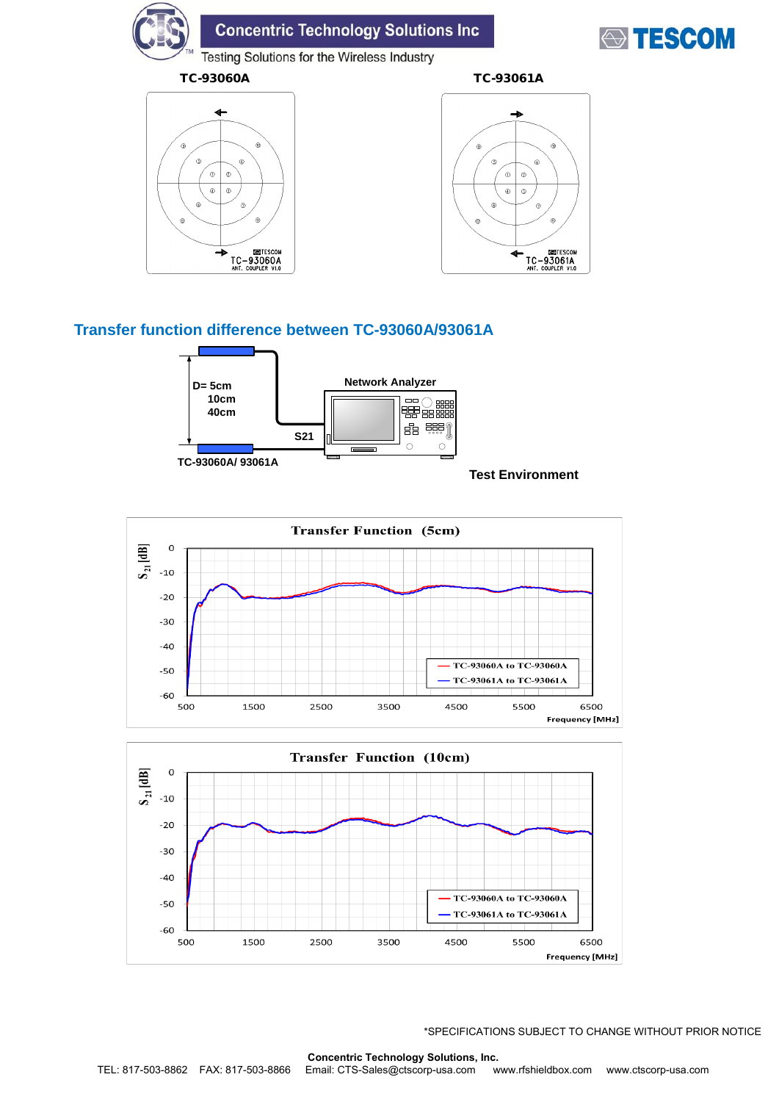# **Concentric Technology Solutions Inc**



Testing Solutions for the Wireless Industry





## **Transfer function difference between TC-93060A/93061A**



#### **Test Environment**



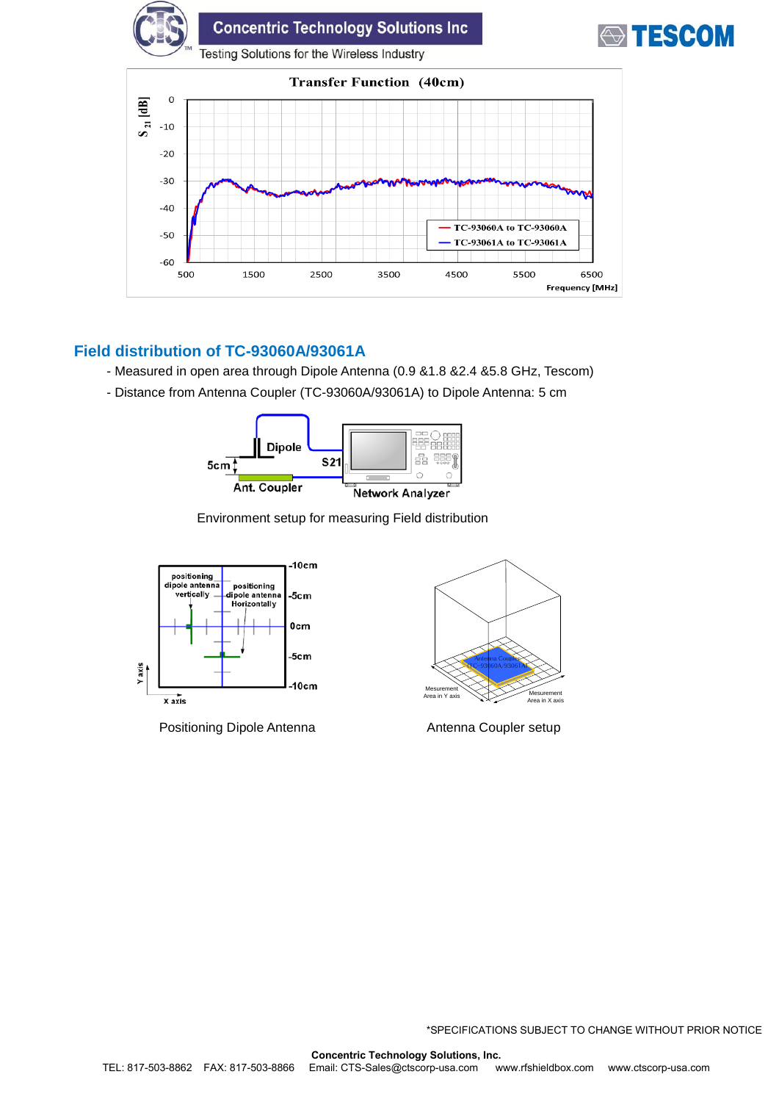

### **Field distribution of TC-93060A/93061A**

- Measured in open area through Dipole Antenna (0.9 &1.8 &2.4 &5.8 GHz, Tescom)
- Distance from Antenna Coupler (TC-93060A/93061A) to Dipole Antenna: 5 cm



Environment setup for measuring Field distribution



Positioning Dipole Antenna **Antenna Coupler setup** 

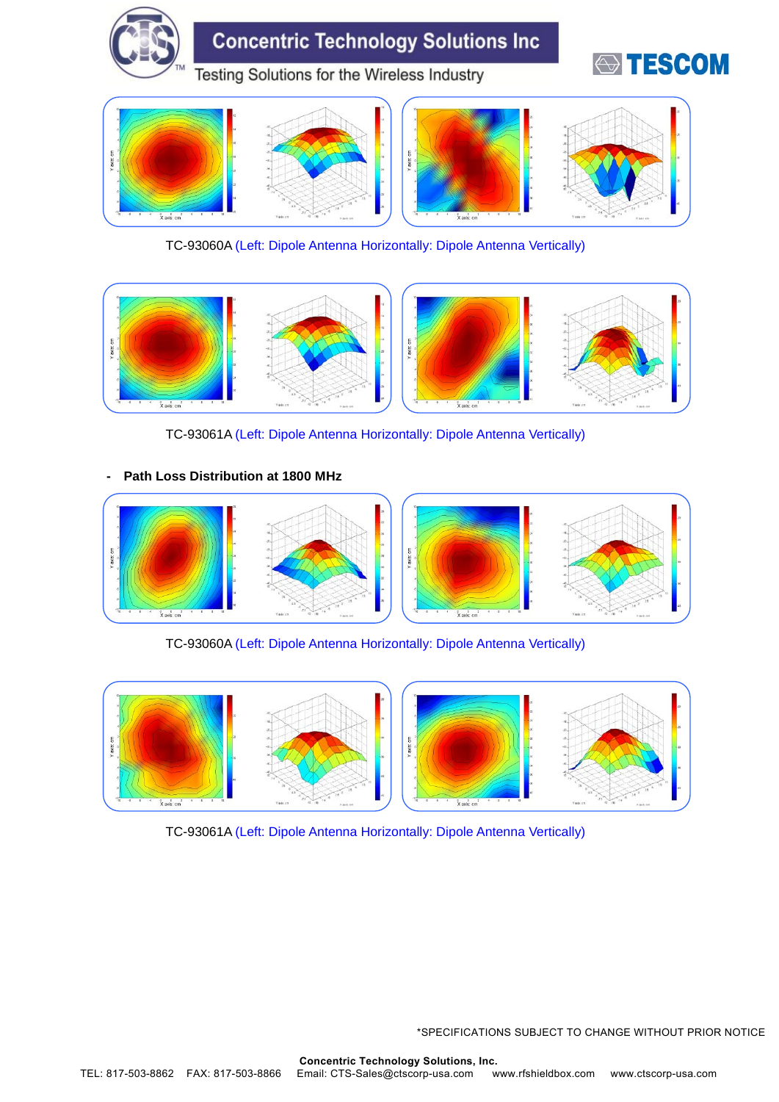

TC-93060A (Left: Dipole Antenna Horizontally: Dipole Antenna Vertically)



TC-93061A (Left: Dipole Antenna Horizontally: Dipole Antenna Vertically)

#### **- Path Loss Distribution at 1800 MHz**



TC-93060A (Left: Dipole Antenna Horizontally: Dipole Antenna Vertically)



TC-93061A (Left: Dipole Antenna Horizontally: Dipole Antenna Vertically)